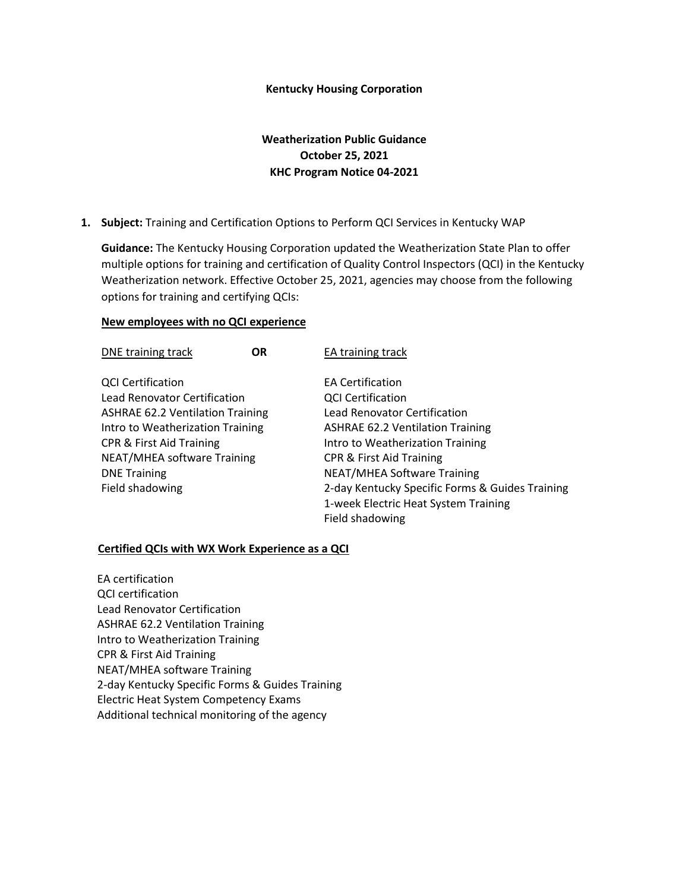## **Kentucky Housing Corporation**

## **Weatherization Public Guidance October 25, 2021 KHC Program Notice 04-2021**

**1. Subject:** Training and Certification Options to Perform QCI Services in Kentucky WAP

**Guidance:** The Kentucky Housing Corporation updated the Weatherization State Plan to offer multiple options for training and certification of Quality Control Inspectors (QCI) in the Kentucky Weatherization network. Effective October 25, 2021, agencies may choose from the following options for training and certifying QCIs:

## **New employees with no QCI experience**

| DNE training track                      | <b>OR</b> | EA training track                               |
|-----------------------------------------|-----------|-------------------------------------------------|
| <b>QCI Certification</b>                |           | <b>EA Certification</b>                         |
| <b>Lead Renovator Certification</b>     |           | <b>QCI Certification</b>                        |
| <b>ASHRAE 62.2 Ventilation Training</b> |           | <b>Lead Renovator Certification</b>             |
| Intro to Weatherization Training        |           | <b>ASHRAE 62.2 Ventilation Training</b>         |
| <b>CPR &amp; First Aid Training</b>     |           | Intro to Weatherization Training                |
| NEAT/MHEA software Training             |           | <b>CPR &amp; First Aid Training</b>             |
| <b>DNE Training</b>                     |           | <b>NEAT/MHEA Software Training</b>              |
| Field shadowing                         |           | 2-day Kentucky Specific Forms & Guides Training |
|                                         |           | 1-week Electric Heat System Training            |
|                                         |           | Field shadowing                                 |

## **Certified QCIs with WX Work Experience as a QCI**

EA certification QCI certification Lead Renovator Certification ASHRAE 62.2 Ventilation Training Intro to Weatherization Training CPR & First Aid Training NEAT/MHEA software Training 2-day Kentucky Specific Forms & Guides Training Electric Heat System Competency Exams Additional technical monitoring of the agency